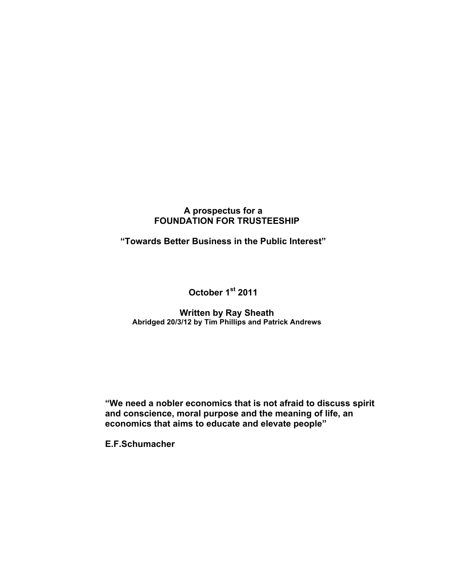## **A prospectus for a FOUNDATION FOR TRUSTEESHIP**

**"Towards Better Business in the Public Interest"**

**October 1st 2011**

#### **Written by Ray Sheath Abridged 20/3/12 by Tim Phillips and Patrick Andrews**

**"We need a nobler economics that is not afraid to discuss spirit and conscience, moral purpose and the meaning of life, an economics that aims to educate and elevate people"**

**E.F.Schumacher**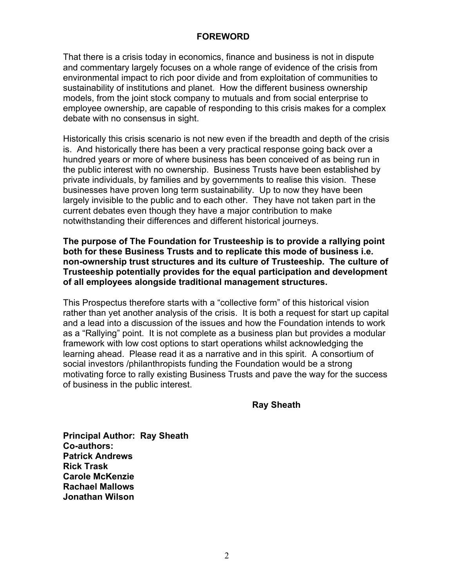#### **FOREWORD**

That there is a crisis today in economics, finance and business is not in dispute and commentary largely focuses on a whole range of evidence of the crisis from environmental impact to rich poor divide and from exploitation of communities to sustainability of institutions and planet. How the different business ownership models, from the joint stock company to mutuals and from social enterprise to employee ownership, are capable of responding to this crisis makes for a complex debate with no consensus in sight.

Historically this crisis scenario is not new even if the breadth and depth of the crisis is. And historically there has been a very practical response going back over a hundred years or more of where business has been conceived of as being run in the public interest with no ownership. Business Trusts have been established by private individuals, by families and by governments to realise this vision. These businesses have proven long term sustainability. Up to now they have been largely invisible to the public and to each other. They have not taken part in the current debates even though they have a major contribution to make notwithstanding their differences and different historical journeys.

**The purpose of The Foundation for Trusteeship is to provide a rallying point both for these Business Trusts and to replicate this mode of business i.e. non-ownership trust structures and its culture of Trusteeship. The culture of Trusteeship potentially provides for the equal participation and development of all employees alongside traditional management structures.**

This Prospectus therefore starts with a "collective form" of this historical vision rather than yet another analysis of the crisis. It is both a request for start up capital and a lead into a discussion of the issues and how the Foundation intends to work as a "Rallying" point. It is not complete as a business plan but provides a modular framework with low cost options to start operations whilst acknowledging the learning ahead. Please read it as a narrative and in this spirit. A consortium of social investors /philanthropists funding the Foundation would be a strong motivating force to rally existing Business Trusts and pave the way for the success of business in the public interest.

**Ray Sheath**

**Principal Author: Ray Sheath Co-authors: Patrick Andrews Rick Trask Carole McKenzie Rachael Mallows Jonathan Wilson**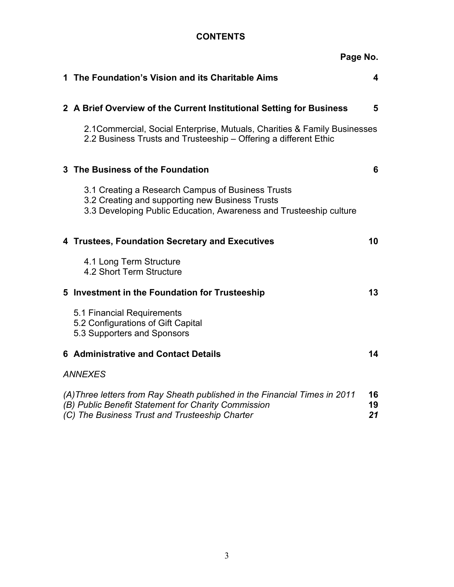## **CONTENTS**

|                                                                                                                                                                                                       | Page No.                                                                                                                                                                   |    |  |  |
|-------------------------------------------------------------------------------------------------------------------------------------------------------------------------------------------------------|----------------------------------------------------------------------------------------------------------------------------------------------------------------------------|----|--|--|
|                                                                                                                                                                                                       | 1 The Foundation's Vision and its Charitable Aims                                                                                                                          | 4  |  |  |
|                                                                                                                                                                                                       | 2 A Brief Overview of the Current Institutional Setting for Business                                                                                                       | 5  |  |  |
|                                                                                                                                                                                                       | 2.1 Commercial, Social Enterprise, Mutuals, Charities & Family Businesses<br>2.2 Business Trusts and Trusteeship - Offering a different Ethic                              |    |  |  |
|                                                                                                                                                                                                       | 3 The Business of the Foundation                                                                                                                                           | 6  |  |  |
|                                                                                                                                                                                                       | 3.1 Creating a Research Campus of Business Trusts<br>3.2 Creating and supporting new Business Trusts<br>3.3 Developing Public Education, Awareness and Trusteeship culture |    |  |  |
|                                                                                                                                                                                                       | 4 Trustees, Foundation Secretary and Executives                                                                                                                            | 10 |  |  |
|                                                                                                                                                                                                       | 4.1 Long Term Structure<br>4.2 Short Term Structure                                                                                                                        |    |  |  |
|                                                                                                                                                                                                       | 5 Investment in the Foundation for Trusteeship                                                                                                                             | 13 |  |  |
|                                                                                                                                                                                                       | 5.1 Financial Requirements<br>5.2 Configurations of Gift Capital<br>5.3 Supporters and Sponsors                                                                            |    |  |  |
|                                                                                                                                                                                                       | <b>6 Administrative and Contact Details</b>                                                                                                                                | 14 |  |  |
| <b>ANNEXES</b>                                                                                                                                                                                        |                                                                                                                                                                            |    |  |  |
| (A) Three letters from Ray Sheath published in the Financial Times in 2011<br>16<br>(B) Public Benefit Statement for Charity Commission<br>19<br>(C) The Business Trust and Trusteeship Charter<br>21 |                                                                                                                                                                            |    |  |  |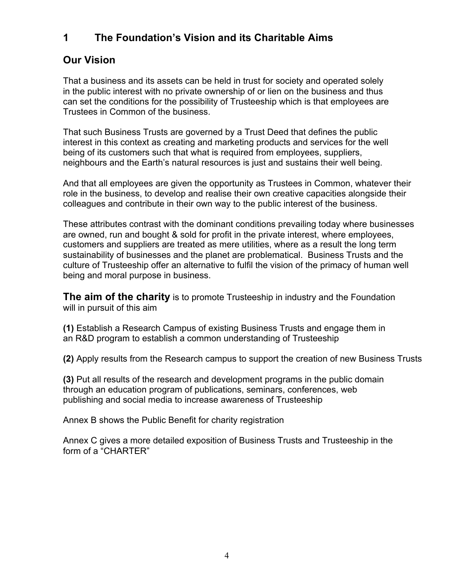## **1 The Foundation's Vision and its Charitable Aims**

## **Our Vision**

That a business and its assets can be held in trust for society and operated solely in the public interest with no private ownership of or lien on the business and thus can set the conditions for the possibility of Trusteeship which is that employees are Trustees in Common of the business.

That such Business Trusts are governed by a Trust Deed that defines the public interest in this context as creating and marketing products and services for the well being of its customers such that what is required from employees, suppliers, neighbours and the Earth's natural resources is just and sustains their well being.

And that all employees are given the opportunity as Trustees in Common, whatever their role in the business, to develop and realise their own creative capacities alongside their colleagues and contribute in their own way to the public interest of the business.

These attributes contrast with the dominant conditions prevailing today where businesses are owned, run and bought & sold for profit in the private interest, where employees, customers and suppliers are treated as mere utilities, where as a result the long term sustainability of businesses and the planet are problematical. Business Trusts and the culture of Trusteeship offer an alternative to fulfil the vision of the primacy of human well being and moral purpose in business.

**The aim of the charity** is to promote Trusteeship in industry and the Foundation will in pursuit of this aim

**(1)** Establish a Research Campus of existing Business Trusts and engage them in an R&D program to establish a common understanding of Trusteeship

**(2)** Apply results from the Research campus to support the creation of new Business Trusts

**(3)** Put all results of the research and development programs in the public domain through an education program of publications, seminars, conferences, web publishing and social media to increase awareness of Trusteeship

Annex B shows the Public Benefit for charity registration

Annex C gives a more detailed exposition of Business Trusts and Trusteeship in the form of a "CHARTER"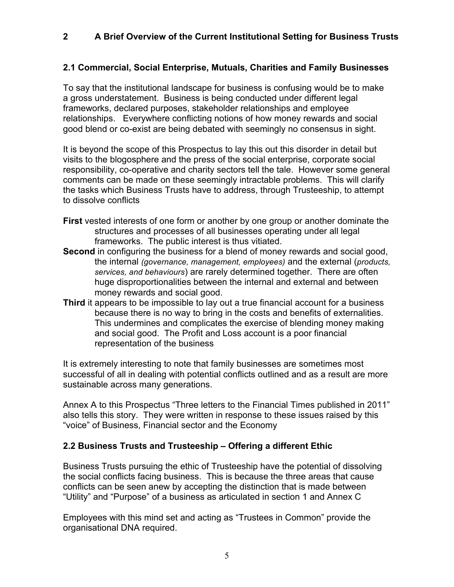## **2 A Brief Overview of the Current Institutional Setting for Business Trusts**

### **2.1 Commercial, Social Enterprise, Mutuals, Charities and Family Businesses**

To say that the institutional landscape for business is confusing would be to make a gross understatement. Business is being conducted under different legal frameworks, declared purposes, stakeholder relationships and employee relationships. Everywhere conflicting notions of how money rewards and social good blend or co-exist are being debated with seemingly no consensus in sight.

It is beyond the scope of this Prospectus to lay this out this disorder in detail but visits to the blogosphere and the press of the social enterprise, corporate social responsibility, co-operative and charity sectors tell the tale. However some general comments can be made on these seemingly intractable problems. This will clarify the tasks which Business Trusts have to address, through Trusteeship, to attempt to dissolve conflicts

- **First** vested interests of one form or another by one group or another dominate the structures and processes of all businesses operating under all legal frameworks. The public interest is thus vitiated.
- **Second** in configuring the business for a blend of money rewards and social good, the internal *(governance, management, employees)* and the external (*products, services, and behaviours*) are rarely determined together. There are often huge disproportionalities between the internal and external and between money rewards and social good.
- **Third** it appears to be impossible to lay out a true financial account for a business because there is no way to bring in the costs and benefits of externalities. This undermines and complicates the exercise of blending money making and social good. The Profit and Loss account is a poor financial representation of the business

It is extremely interesting to note that family businesses are sometimes most successful of all in dealing with potential conflicts outlined and as a result are more sustainable across many generations.

Annex A to this Prospectus "Three letters to the Financial Times published in 2011" also tells this story. They were written in response to these issues raised by this "voice" of Business, Financial sector and the Economy

#### **2.2 Business Trusts and Trusteeship – Offering a different Ethic**

Business Trusts pursuing the ethic of Trusteeship have the potential of dissolving the social conflicts facing business. This is because the three areas that cause conflicts can be seen anew by accepting the distinction that is made between "Utility" and "Purpose" of a business as articulated in section 1 and Annex C

Employees with this mind set and acting as "Trustees in Common" provide the organisational DNA required.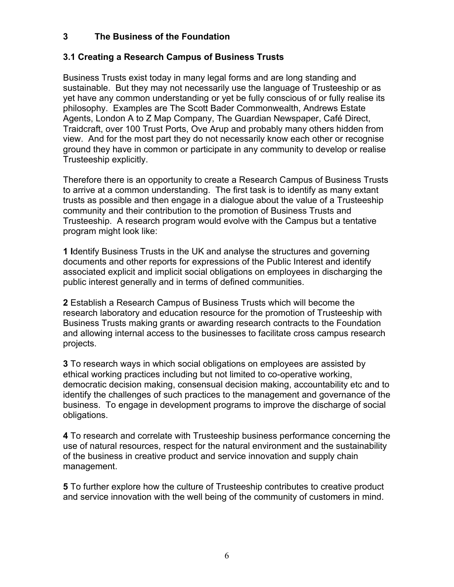## **3 The Business of the Foundation**

### **3.1 Creating a Research Campus of Business Trusts**

Business Trusts exist today in many legal forms and are long standing and sustainable. But they may not necessarily use the language of Trusteeship or as yet have any common understanding or yet be fully conscious of or fully realise its philosophy. Examples are The Scott Bader Commonwealth, Andrews Estate Agents, London A to Z Map Company, The Guardian Newspaper, Café Direct, Traidcraft, over 100 Trust Ports, Ove Arup and probably many others hidden from view. And for the most part they do not necessarily know each other or recognise ground they have in common or participate in any community to develop or realise Trusteeship explicitly.

Therefore there is an opportunity to create a Research Campus of Business Trusts to arrive at a common understanding. The first task is to identify as many extant trusts as possible and then engage in a dialogue about the value of a Trusteeship community and their contribution to the promotion of Business Trusts and Trusteeship. A research program would evolve with the Campus but a tentative program might look like:

**1 I**dentify Business Trusts in the UK and analyse the structures and governing documents and other reports for expressions of the Public Interest and identify associated explicit and implicit social obligations on employees in discharging the public interest generally and in terms of defined communities.

**2** Establish a Research Campus of Business Trusts which will become the research laboratory and education resource for the promotion of Trusteeship with Business Trusts making grants or awarding research contracts to the Foundation and allowing internal access to the businesses to facilitate cross campus research projects.

**3** To research ways in which social obligations on employees are assisted by ethical working practices including but not limited to co-operative working, democratic decision making, consensual decision making, accountability etc and to identify the challenges of such practices to the management and governance of the business. To engage in development programs to improve the discharge of social obligations.

**4** To research and correlate with Trusteeship business performance concerning the use of natural resources, respect for the natural environment and the sustainability of the business in creative product and service innovation and supply chain management.

**5** To further explore how the culture of Trusteeship contributes to creative product and service innovation with the well being of the community of customers in mind.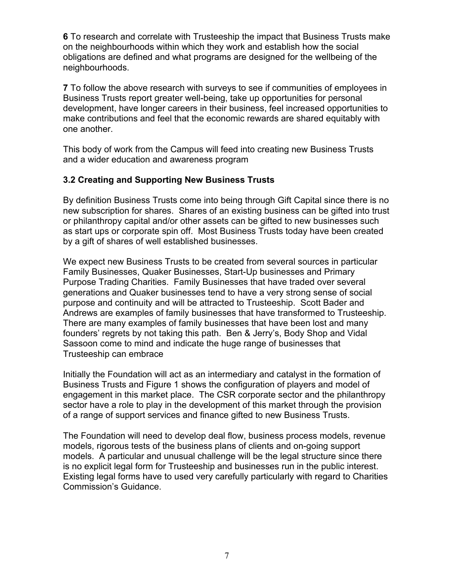**6** To research and correlate with Trusteeship the impact that Business Trusts make on the neighbourhoods within which they work and establish how the social obligations are defined and what programs are designed for the wellbeing of the neighbourhoods.

**7** To follow the above research with surveys to see if communities of employees in Business Trusts report greater well-being, take up opportunities for personal development, have longer careers in their business, feel increased opportunities to make contributions and feel that the economic rewards are shared equitably with one another.

This body of work from the Campus will feed into creating new Business Trusts and a wider education and awareness program

## **3.2 Creating and Supporting New Business Trusts**

By definition Business Trusts come into being through Gift Capital since there is no new subscription for shares. Shares of an existing business can be gifted into trust or philanthropy capital and/or other assets can be gifted to new businesses such as start ups or corporate spin off. Most Business Trusts today have been created by a gift of shares of well established businesses.

We expect new Business Trusts to be created from several sources in particular Family Businesses, Quaker Businesses, Start-Up businesses and Primary Purpose Trading Charities. Family Businesses that have traded over several generations and Quaker businesses tend to have a very strong sense of social purpose and continuity and will be attracted to Trusteeship. Scott Bader and Andrews are examples of family businesses that have transformed to Trusteeship. There are many examples of family businesses that have been lost and many founders' regrets by not taking this path. Ben & Jerry's, Body Shop and Vidal Sassoon come to mind and indicate the huge range of businesses that Trusteeship can embrace

Initially the Foundation will act as an intermediary and catalyst in the formation of Business Trusts and Figure 1 shows the configuration of players and model of engagement in this market place. The CSR corporate sector and the philanthropy sector have a role to play in the development of this market through the provision of a range of support services and finance gifted to new Business Trusts.

The Foundation will need to develop deal flow, business process models, revenue models, rigorous tests of the business plans of clients and on-going support models. A particular and unusual challenge will be the legal structure since there is no explicit legal form for Trusteeship and businesses run in the public interest. Existing legal forms have to used very carefully particularly with regard to Charities Commission's Guidance.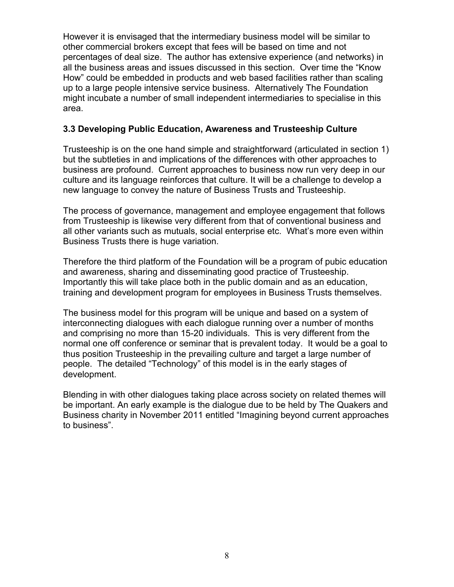However it is envisaged that the intermediary business model will be similar to other commercial brokers except that fees will be based on time and not percentages of deal size. The author has extensive experience (and networks) in all the business areas and issues discussed in this section. Over time the "Know How" could be embedded in products and web based facilities rather than scaling up to a large people intensive service business. Alternatively The Foundation might incubate a number of small independent intermediaries to specialise in this area.

#### **3.3 Developing Public Education, Awareness and Trusteeship Culture**

Trusteeship is on the one hand simple and straightforward (articulated in section 1) but the subtleties in and implications of the differences with other approaches to business are profound. Current approaches to business now run very deep in our culture and its language reinforces that culture. It will be a challenge to develop a new language to convey the nature of Business Trusts and Trusteeship.

The process of governance, management and employee engagement that follows from Trusteeship is likewise very different from that of conventional business and all other variants such as mutuals, social enterprise etc. What's more even within Business Trusts there is huge variation.

Therefore the third platform of the Foundation will be a program of pubic education and awareness, sharing and disseminating good practice of Trusteeship. Importantly this will take place both in the public domain and as an education, training and development program for employees in Business Trusts themselves.

The business model for this program will be unique and based on a system of interconnecting dialogues with each dialogue running over a number of months and comprising no more than 15-20 individuals. This is very different from the normal one off conference or seminar that is prevalent today. It would be a goal to thus position Trusteeship in the prevailing culture and target a large number of people. The detailed "Technology" of this model is in the early stages of development.

Blending in with other dialogues taking place across society on related themes will be important. An early example is the dialogue due to be held by The Quakers and Business charity in November 2011 entitled "Imagining beyond current approaches to business".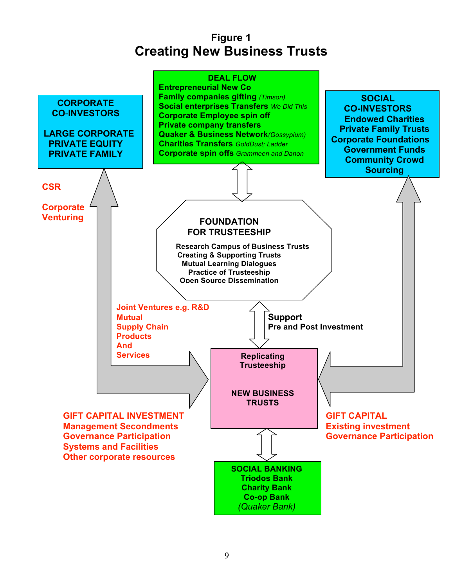## **Figure 1 Creating New Business Trusts**

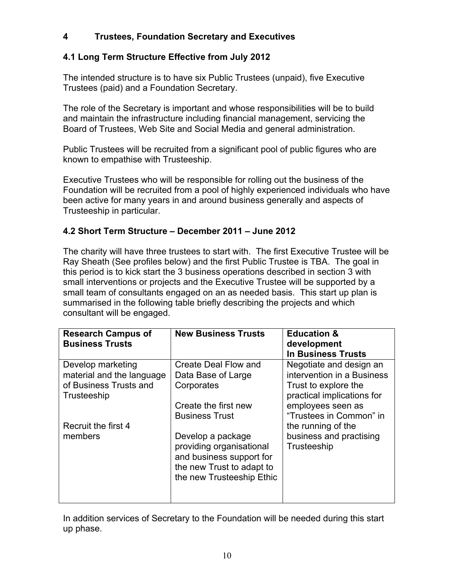## **4 Trustees, Foundation Secretary and Executives**

## **4.1 Long Term Structure Effective from July 2012**

The intended structure is to have six Public Trustees (unpaid), five Executive Trustees (paid) and a Foundation Secretary.

The role of the Secretary is important and whose responsibilities will be to build and maintain the infrastructure including financial management, servicing the Board of Trustees, Web Site and Social Media and general administration.

Public Trustees will be recruited from a significant pool of public figures who are known to empathise with Trusteeship.

Executive Trustees who will be responsible for rolling out the business of the Foundation will be recruited from a pool of highly experienced individuals who have been active for many years in and around business generally and aspects of Trusteeship in particular.

## **4.2 Short Term Structure – December 2011 – June 2012**

The charity will have three trustees to start with. The first Executive Trustee will be Ray Sheath (See profiles below) and the first Public Trustee is TBA. The goal in this period is to kick start the 3 business operations described in section 3 with small interventions or projects and the Executive Trustee will be supported by a small team of consultants engaged on an as needed basis. This start up plan is summarised in the following table briefly describing the projects and which consultant will be engaged.

| <b>Research Campus of</b><br><b>Business Trusts</b>                                     | <b>New Business Trusts</b>                                                                                                          | <b>Education &amp;</b><br>development<br><b>In Business Trusts</b>                                          |
|-----------------------------------------------------------------------------------------|-------------------------------------------------------------------------------------------------------------------------------------|-------------------------------------------------------------------------------------------------------------|
| Develop marketing<br>material and the language<br>of Business Trusts and<br>Trusteeship | Create Deal Flow and<br>Data Base of Large<br>Corporates                                                                            | Negotiate and design an<br>intervention in a Business<br>Trust to explore the<br>practical implications for |
|                                                                                         | Create the first new<br><b>Business Trust</b>                                                                                       | employees seen as<br>"Trustees in Common" in                                                                |
| Recruit the first 4<br>members                                                          | Develop a package<br>providing organisational<br>and business support for<br>the new Trust to adapt to<br>the new Trusteeship Ethic | the running of the<br>business and practising<br>Trusteeship                                                |

In addition services of Secretary to the Foundation will be needed during this start up phase.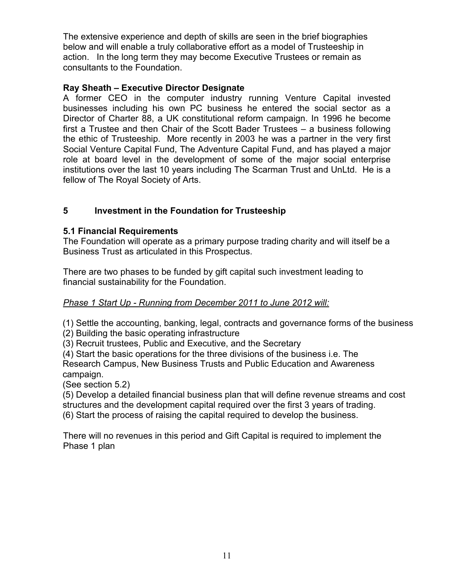The extensive experience and depth of skills are seen in the brief biographies below and will enable a truly collaborative effort as a model of Trusteeship in action. In the long term they may become Executive Trustees or remain as consultants to the Foundation.

## **Ray Sheath – Executive Director Designate**

A former CEO in the computer industry running Venture Capital invested businesses including his own PC business he entered the social sector as a Director of Charter 88, a UK constitutional reform campaign. In 1996 he become first a Trustee and then Chair of the Scott Bader Trustees – a business following the ethic of Trusteeship. More recently in 2003 he was a partner in the very first Social Venture Capital Fund, The Adventure Capital Fund, and has played a major role at board level in the development of some of the major social enterprise institutions over the last 10 years including The Scarman Trust and UnLtd. He is a fellow of The Royal Society of Arts.

## **5 Investment in the Foundation for Trusteeship**

### **5.1 Financial Requirements**

The Foundation will operate as a primary purpose trading charity and will itself be a Business Trust as articulated in this Prospectus.

There are two phases to be funded by gift capital such investment leading to financial sustainability for the Foundation.

#### *Phase 1 Start Up - Running from December 2011 to June 2012 will:*

(1) Settle the accounting, banking, legal, contracts and governance forms of the business

(2) Building the basic operating infrastructure

(3) Recruit trustees, Public and Executive, and the Secretary

(4) Start the basic operations for the three divisions of the business i.e. The Research Campus, New Business Trusts and Public Education and Awareness campaign.

(See section 5.2)

(5) Develop a detailed financial business plan that will define revenue streams and cost structures and the development capital required over the first 3 years of trading. (6) Start the process of raising the capital required to develop the business.

There will no revenues in this period and Gift Capital is required to implement the Phase 1 plan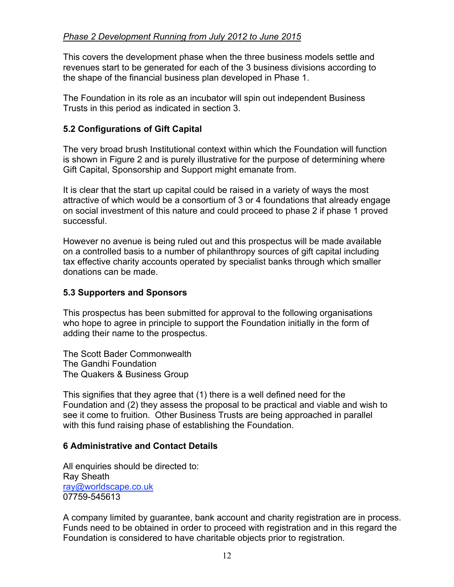## *Phase 2 Development Running from July 2012 to June 2015*

This covers the development phase when the three business models settle and revenues start to be generated for each of the 3 business divisions according to the shape of the financial business plan developed in Phase 1.

The Foundation in its role as an incubator will spin out independent Business Trusts in this period as indicated in section 3.

## **5.2 Configurations of Gift Capital**

The very broad brush Institutional context within which the Foundation will function is shown in Figure 2 and is purely illustrative for the purpose of determining where Gift Capital, Sponsorship and Support might emanate from.

It is clear that the start up capital could be raised in a variety of ways the most attractive of which would be a consortium of 3 or 4 foundations that already engage on social investment of this nature and could proceed to phase 2 if phase 1 proved successful.

However no avenue is being ruled out and this prospectus will be made available on a controlled basis to a number of philanthropy sources of gift capital including tax effective charity accounts operated by specialist banks through which smaller donations can be made.

## **5.3 Supporters and Sponsors**

This prospectus has been submitted for approval to the following organisations who hope to agree in principle to support the Foundation initially in the form of adding their name to the prospectus.

The Scott Bader Commonwealth The Gandhi Foundation The Quakers & Business Group

This signifies that they agree that (1) there is a well defined need for the Foundation and (2) they assess the proposal to be practical and viable and wish to see it come to fruition. Other Business Trusts are being approached in parallel with this fund raising phase of establishing the Foundation.

## **6 Administrative and Contact Details**

All enquiries should be directed to: Ray Sheath ray@worldscape.co.uk 07759-545613

A company limited by guarantee, bank account and charity registration are in process. Funds need to be obtained in order to proceed with registration and in this regard the Foundation is considered to have charitable objects prior to registration.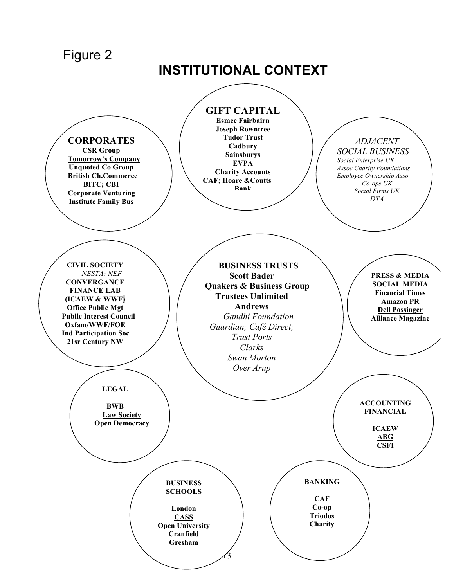Figure 2

# **INSTITUTIONAL CONTEXT**

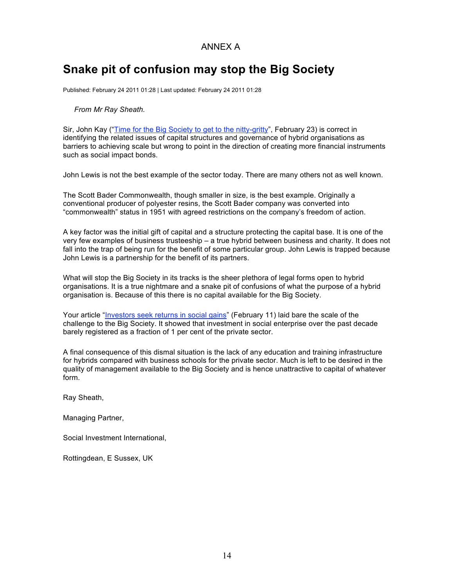#### ANNEX A

## **Snake pit of confusion may stop the Big Society**

Published: February 24 2011 01:28 | Last updated: February 24 2011 01:28

#### *From Mr Ray Sheath.*

Sir, John Kay ("Time for the Big Society to get to the nitty-gritty", February 23) is correct in identifying the related issues of capital structures and governance of hybrid organisations as barriers to achieving scale but wrong to point in the direction of creating more financial instruments such as social impact bonds.

John Lewis is not the best example of the sector today. There are many others not as well known.

The Scott Bader Commonwealth, though smaller in size, is the best example. Originally a conventional producer of polyester resins, the Scott Bader company was converted into "commonwealth" status in 1951 with agreed restrictions on the company's freedom of action.

A key factor was the initial gift of capital and a structure protecting the capital base. It is one of the very few examples of business trusteeship – a true hybrid between business and charity. It does not fall into the trap of being run for the benefit of some particular group. John Lewis is trapped because John Lewis is a partnership for the benefit of its partners.

What will stop the Big Society in its tracks is the sheer plethora of legal forms open to hybrid organisations. It is a true nightmare and a snake pit of confusions of what the purpose of a hybrid organisation is. Because of this there is no capital available for the Big Society.

Your article "Investors seek returns in social gains" (February 11) laid bare the scale of the challenge to the Big Society. It showed that investment in social enterprise over the past decade barely registered as a fraction of 1 per cent of the private sector.

A final consequence of this dismal situation is the lack of any education and training infrastructure for hybrids compared with business schools for the private sector. Much is left to be desired in the quality of management available to the Big Society and is hence unattractive to capital of whatever form.

Ray Sheath,

Managing Partner,

Social Investment International,

Rottingdean, E Sussex, UK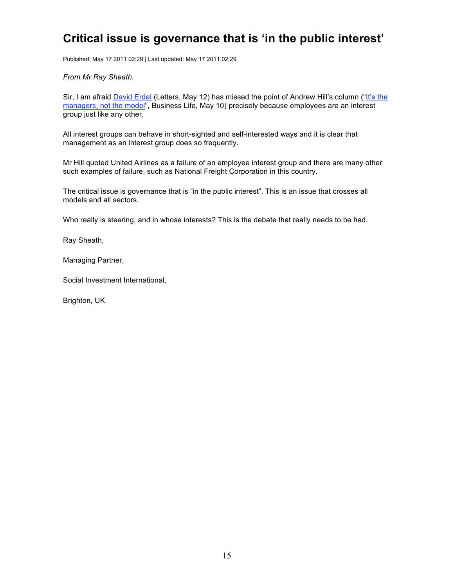## **Critical issue is governance that is 'in the public interest'**

Published: May 17 2011 02:29 | Last updated: May 17 2011 02:29

*From Mr Ray Sheath.*

Sir, I am afraid David Erdal (Letters, May 12) has missed the point of Andrew Hill's column ("It's the managers, not the model", Business Life, May 10) precisely because employees are an interest group just like any other.

All interest groups can behave in short-sighted and self-interested ways and it is clear that management as an interest group does so frequently.

Mr Hill quoted United Airlines as a failure of an employee interest group and there are many other such examples of failure, such as National Freight Corporation in this country.

The critical issue is governance that is "in the public interest". This is an issue that crosses all models and all sectors.

Who really is steering, and in whose interests? This is the debate that really needs to be had.

Ray Sheath,

Managing Partner,

Social Investment International,

Brighton, UK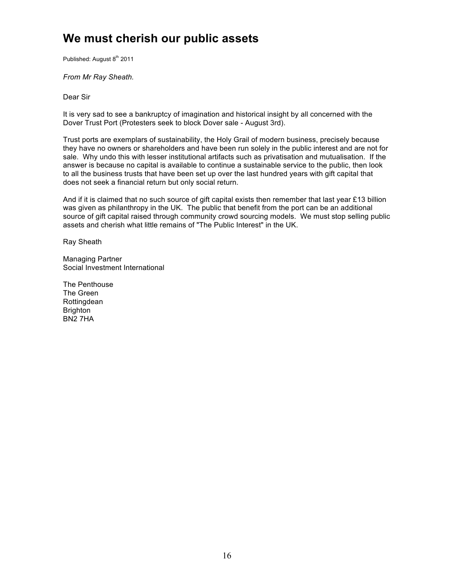## **We must cherish our public assets**

Published: August 8<sup>th</sup> 2011

*From Mr Ray Sheath.*

Dear Sir

It is very sad to see a bankruptcy of imagination and historical insight by all concerned with the Dover Trust Port (Protesters seek to block Dover sale - August 3rd).

Trust ports are exemplars of sustainability, the Holy Grail of modern business, precisely because they have no owners or shareholders and have been run solely in the public interest and are not for sale. Why undo this with lesser institutional artifacts such as privatisation and mutualisation. If the answer is because no capital is available to continue a sustainable service to the public, then look to all the business trusts that have been set up over the last hundred years with gift capital that does not seek a financial return but only social return.

And if it is claimed that no such source of gift capital exists then remember that last year £13 billion was given as philanthropy in the UK. The public that benefit from the port can be an additional source of gift capital raised through community crowd sourcing models. We must stop selling public assets and cherish what little remains of "The Public Interest" in the UK.

Ray Sheath

Managing Partner Social Investment International

The Penthouse The Green **Rottingdean Brighton** BN2 7HA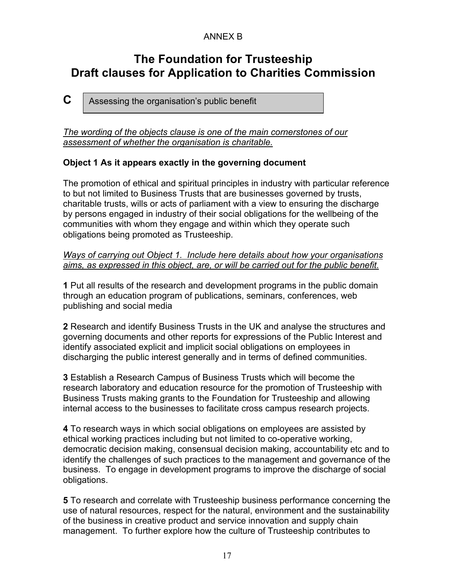## ANNEX B

## **The Foundation for Trusteeship Draft clauses for Application to Charities Commission**

**C**  Assessing the organisation's public benefit

*The wording of the objects clause is one of the main cornerstones of our assessment of whether the organisation is charitable.*

### **Object 1 As it appears exactly in the governing document**

The promotion of ethical and spiritual principles in industry with particular reference to but not limited to Business Trusts that are businesses governed by trusts, charitable trusts, wills or acts of parliament with a view to ensuring the discharge by persons engaged in industry of their social obligations for the wellbeing of the communities with whom they engage and within which they operate such obligations being promoted as Trusteeship.

#### *Ways of carrying out Object 1. Include here details about how your organisations aims, as expressed in this object, are, or will be carried out for the public benefit.*

**1** Put all results of the research and development programs in the public domain through an education program of publications, seminars, conferences, web publishing and social media

**2** Research and identify Business Trusts in the UK and analyse the structures and governing documents and other reports for expressions of the Public Interest and identify associated explicit and implicit social obligations on employees in discharging the public interest generally and in terms of defined communities.

**3** Establish a Research Campus of Business Trusts which will become the research laboratory and education resource for the promotion of Trusteeship with Business Trusts making grants to the Foundation for Trusteeship and allowing internal access to the businesses to facilitate cross campus research projects.

**4** To research ways in which social obligations on employees are assisted by ethical working practices including but not limited to co-operative working, democratic decision making, consensual decision making, accountability etc and to identify the challenges of such practices to the management and governance of the business. To engage in development programs to improve the discharge of social obligations.

**5** To research and correlate with Trusteeship business performance concerning the use of natural resources, respect for the natural, environment and the sustainability of the business in creative product and service innovation and supply chain management. To further explore how the culture of Trusteeship contributes to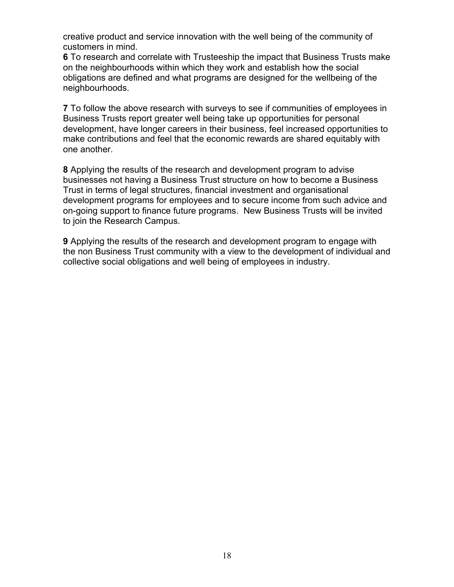creative product and service innovation with the well being of the community of customers in mind.

**6** To research and correlate with Trusteeship the impact that Business Trusts make on the neighbourhoods within which they work and establish how the social obligations are defined and what programs are designed for the wellbeing of the neighbourhoods.

**7** To follow the above research with surveys to see if communities of employees in Business Trusts report greater well being take up opportunities for personal development, have longer careers in their business, feel increased opportunities to make contributions and feel that the economic rewards are shared equitably with one another.

**8** Applying the results of the research and development program to advise businesses not having a Business Trust structure on how to become a Business Trust in terms of legal structures, financial investment and organisational development programs for employees and to secure income from such advice and on-going support to finance future programs. New Business Trusts will be invited to join the Research Campus.

**9** Applying the results of the research and development program to engage with the non Business Trust community with a view to the development of individual and collective social obligations and well being of employees in industry.